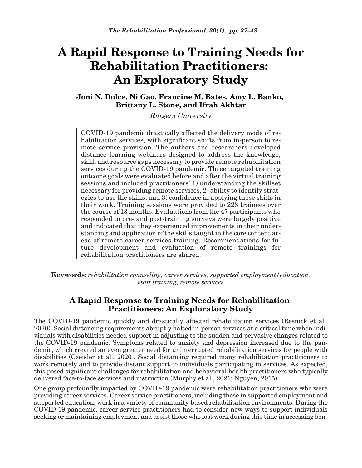# **A Rapid Response to Training Needs for Rehabilitation Practitioners: An Exploratory Study**

**Joni N. Dolce, Ni Gao, Francine M. Bates, Amy L. Banko, Brittany L. Stone, and Ifrah Akhtar**

**Rutgers University** 

COVID-19 pandemic drastically affected the delivery mode of rehabilitation services, with significant shifts from in-person to remote service provision. The authors and researchers developed distance learning webinars designed to address the knowledge, skill, and resource gaps necessary to provide remote rehabilitation services during the COVID-19 pandemic. Three targeted training outcome goals were evaluated before and after the virtual training sessions and included practitioners' 1) understanding the skillset necessary for providing remote services, 2) ability to identify strategies to use the skills, and 3) confidence in applying these skills in their work. Training sessions were provided to 228 trainees over the course of 13 months. Evaluations from the 47 participants who responded to pre- and post-training surveys were largely positive and indicated that they experienced improvements in their understanding and application of the skills taught in the core content areas of remote career services training. Recommendations for future development and evaluation of remote trainings for rehabilitation practitioners are shared.

**Keywords:** *rehabilitation counseling, career services, supported employment/education, staff training, remote services*

# **A Rapid Response to Training Needs for Rehabilitation Practitioners: An Exploratory Study**

The COVID-19 pandemic quickly and drastically affected rehabilitation services (Resnick et al., 2020). Social distancing requirements abruptly halted in-person services at a critical time when individuals with disabilities needed support in adjusting to the sudden and pervasive changes related to the COVID-19 pandemic. Symptoms related to anxiety and depression increased due to the pandemic, which created an even greater need for uninterrupted rehabilitation services for people with disabilities (Czeisler et al., 2020). Social distancing required many rehabilitation practitioners to work remotely and to provide distant support to individuals participating in services. As expected, this posed significant challenges for rehabilitation and behavioral health practitioners who typically delivered face-to-face services and instruction (Murphy et al., 2021; Nguyen, 2015).

One group profoundly impacted by COVID-19 pandemic were rehabilitation practitioners who were providing career services. Career service practitioners, including those in supported employment and supported education, work in a variety of community-based rehabilitation environments. During the COVID-19 pandemic, career service practitioners had to consider new ways to support individuals seeking or maintaining employment and assist those who lost work during this time in accessing ben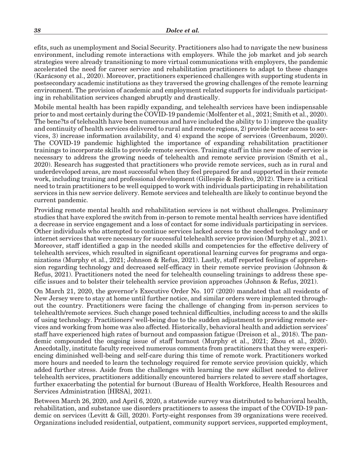efits, such as unemployment and Social Security. Practitioners also had to navigate the new business environment, including remote interactions with employers. While the job market and job search strategies were already transitioning to more virtual communications with employers, the pandemic accelerated the need for career service and rehabilitation practitioners to adapt to these changes (Karácsony et al., 2020). Moreover, practitioners experienced challenges with supporting students in postsecondary academic institutions as they traversed the growing challenges of the remote learning environment. The provision of academic and employment related supports for individuals participating in rehabilitation services changed abruptly and drastically.

Mobile mental health has been rapidly expanding, and telehealth services have been indispensable prior to and most certainly during the COVID-19 pandemic (Molfenter et al., 2021; Smith et al., 2020). The bene?ts of telehealth have been numerous and have included the ability to 1) improve the quality and continuity of health services delivered to rural and remote regions, 2) provide better access to services, 3) increase information availability, and 4) expand the scope of services (Greenbaum, 2020). The COVID-19 pandemic highlighted the importance of expanding rehabilitation practitioner trainings to incorporate skills to provide remote services. Training staff in this new mode of service is necessary to address the growing needs of telehealth and remote service provision (Smith et al., 2020). Research has suggested that practitioners who provide remote services, such as in rural and underdeveloped areas, are most successful when they feel prepared for and supported in their remote work, including training and professional development (Gillespie & Redivo, 2012). There is a critical need to train practitioners to be well equipped to work with individuals participating in rehabilitation services in this new service delivery. Remote services and telehealth are likely to continue beyond the current pandemic.

Providing remote mental health and rehabilitation services is not without challenges. Preliminary studies that have explored the switch from in-person to remote mental health services have identified a decrease in service engagement and a loss of contact for some individuals participating in services. Other individuals who attempted to continue services lacked access to the needed technology and or internet services that were necessary for successful telehealth service provision (Murphy et al., 2021). Moreover, staff identified a gap in the needed skills and competencies for the effective delivery of telehealth services, which resulted in significant operational learning curves for programs and organizations (Murphy et al., 2021; Johnson & Refus, 2021). Lastly, staff reported feelings of apprehension regarding technology and decreased self-efficacy in their remote service provision (Johnson & Refus, 2021). Practitioners noted the need for telehealth counseling trainings to address these specific issues and to bolster their telehealth service provision approaches (Johnson & Refus, 2021).

On March 21, 2020, the governor's Executive Order No. 107 (2020) mandated that all residents of New Jersey were to stay at home until further notice, and similar orders were implemented throughout the country. Practitioners were facing the challenge of changing from in-person services to telehealth/remote services. Such change posed technical difficulties, including access to and the skills of using technology. Practitioners' well-being due to the sudden adjustment to providing remote services and working from home was also affected. Historically, behavioral health and addiction services' staff have experienced high rates of burnout and compassion fatigue (Dreison et al., 2018). The pandemic compounded the ongoing issue of staff burnout (Murphy et al., 2021; Zhou et al., 2020). Anecdotally, institute faculty received numerous comments from practitioners that they were experiencing diminished well-being and self-care during this time of remote work. Practitioners worked more hours and needed to learn the technology required for remote service provision quickly, which added further stress. Aside from the challenges with learning the new skillset needed to deliver telehealth services, practitioners additionally encountered barriers related to severe staff shortages, further exacerbating the potential for burnout (Bureau of Health Workforce, Health Resources and Services Administration [HRSA], 2021).

Between March 26, 2020, and April 6, 2020, a statewide survey was distributed to behavioral health, rehabilitation, and substance use disorders practitioners to assess the impact of the COVID-19 pandemic on services (Levitt & Gill, 2020). Forty-eight responses from 39 organizations were received. Organizations included residential, outpatient, community support services, supported employment,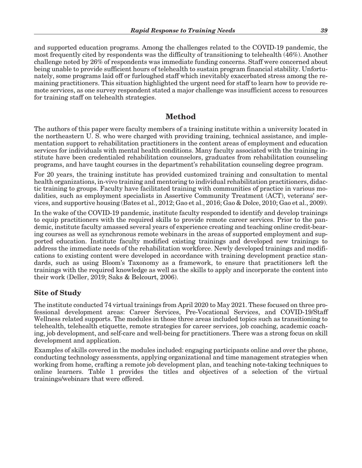and supported education programs. Among the challenges related to the COVID-19 pandemic, the most frequently cited by respondents was the difficulty of transitioning to telehealth (46%). Another challenge noted by 26% of respondents was immediate funding concerns. Staff were concerned about being unable to provide sufficient hours of telehealth to sustain program financial stability. Unfortunately, some programs laid off or furloughed staff which inevitably exacerbated stress among the remaining practitioners. This situation highlighted the urgent need for staff to learn how to provide remote services, as one survey respondent stated a major challenge was insufficient access to resources for training staff on telehealth strategies.

#### **Method**

The authors of this paper were faculty members of a training institute within a university located in the northeastern U. S. who were charged with providing training, technical assistance, and implementation support to rehabilitation practitioners in the content areas of employment and education services for individuals with mental health conditions. Many faculty associated with the training institute have been credentialed rehabilitation counselors, graduates from rehabilitation counseling programs, and have taught courses in the department's rehabilitation counseling degree program.

For 20 years, the training institute has provided customized training and consultation to mental health organizations, in-vivo training and mentoring to individual rehabilitation practitioners, didactic training to groups. Faculty have facilitated training with communities of practice in various modalities, such as employment specialists in Assertive Community Treatment (ACT), veterans' services, and supportive housing (Bates et al., 2012; Gao et al., 2016; Gao & Dolce, 2010; Gao et al., 2009).

In the wake of the COVID-19 pandemic, institute faculty responded to identify and develop trainings to equip practitioners with the required skills to provide remote career services. Prior to the pandemic, institute faculty amassed several years of experience creating and teaching online credit-bearing courses as well as synchronous remote webinars in the areas of supported employment and supported education. Institute faculty modified existing trainings and developed new trainings to address the immediate needs of the rehabilitation workforce. Newly developed trainings and modifications to existing content were developed in accordance with training development practice standards, such as using Bloom's Taxonomy as a framework, to ensure that practitioners left the trainings with the required knowledge as well as the skills to apply and incorporate the content into their work (Deller, 2019; Saks & Belcourt, 2006).

#### **Site of Study**

The institute conducted 74 virtual trainings from April 2020 to May 2021. These focused on three professional development areas: Career Services, Pre-Vocational Services, and COVID-19/Staff Wellness related supports. The modules in those three areas included topics such as transitioning to telehealth, telehealth etiquette, remote strategies for career services, job coaching, academic coaching, job development, and self-care and well-being for practitioners. There was a strong focus on skill development and application.

Examples of skills covered in the modules included: engaging participants online and over the phone, conducting technology assessments, applying organizational and time management strategies when working from home, crafting a remote job development plan, and teaching note-taking techniques to online learners. Table 1 provides the titles and objectives of a selection of the virtual trainings/webinars that were offered.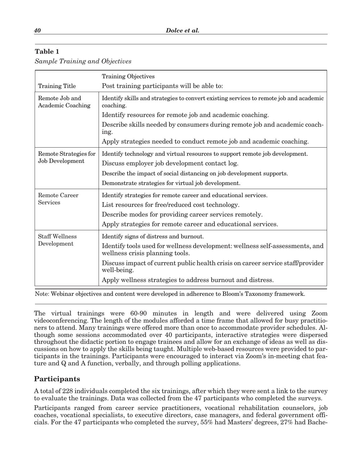#### **Table 1**

|  |  |  | <b>Sample Training and Objectives</b> |
|--|--|--|---------------------------------------|
|--|--|--|---------------------------------------|

|                                            | <b>Training Objectives</b>                                                                                      |  |  |
|--------------------------------------------|-----------------------------------------------------------------------------------------------------------------|--|--|
| <b>Training Title</b>                      | Post training participants will be able to:                                                                     |  |  |
| Remote Job and<br><b>Academic Coaching</b> | Identify skills and strategies to convert existing services to remote job and academic<br>coaching.             |  |  |
|                                            | Identify resources for remote job and academic coaching.                                                        |  |  |
|                                            | Describe skills needed by consumers during remote job and academic coach-<br>ing.                               |  |  |
|                                            | Apply strategies needed to conduct remote job and academic coaching.                                            |  |  |
| Remote Strategies for<br>Job Development   | Identify technology and virtual resources to support remote job development.                                    |  |  |
|                                            | Discuss employer job development contact log.                                                                   |  |  |
|                                            | Describe the impact of social distancing on job development supports.                                           |  |  |
|                                            | Demonstrate strategies for virtual job development.                                                             |  |  |
| Remote Career<br><b>Services</b>           | Identify strategies for remote career and educational services.                                                 |  |  |
|                                            | List resources for free/reduced cost technology.                                                                |  |  |
|                                            | Describe modes for providing career services remotely.                                                          |  |  |
|                                            | Apply strategies for remote career and educational services.                                                    |  |  |
| <b>Staff Wellness</b><br>Development       | Identify signs of distress and burnout.                                                                         |  |  |
|                                            | Identify tools used for wellness development: wellness self-assessments, and<br>wellness crisis planning tools. |  |  |
|                                            | Discuss impact of current public health crisis on career service staff/provider<br>well-being.                  |  |  |
|                                            | Apply wellness strategies to address burnout and distress.                                                      |  |  |

Note: Webinar objectives and content were developed in adherence to Bloom's Taxonomy framework.

The virtual trainings were 60-90 minutes in length and were delivered using Zoom videoconferencing. The length of the modules afforded a time frame that allowed for busy practitioners to attend. Many trainings were offered more than once to accommodate provider schedules. Although some sessions accommodated over 40 participants, interactive strategies were dispersed throughout the didactic portion to engage trainees and allow for an exchange of ideas as well as discussions on how to apply the skills being taught. Multiple web-based resources were provided to participants in the trainings. Participants were encouraged to interact via Zoom's in-meeting chat feature and Q and A function, verbally, and through polling applications.

#### **Participants**

A total of 228 individuals completed the six trainings, after which they were sent a link to the survey to evaluate the trainings. Data was collected from the 47 participants who completed the surveys.

Participants ranged from career service practitioners, vocational rehabilitation counselors, job coaches, vocational specialists, to executive directors, case managers, and federal government officials. For the 47 participants who completed the survey, 55% had Masters' degrees, 27% had Bache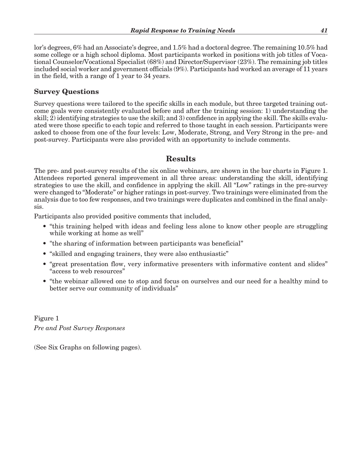lor's degrees, 6% had an Associate's degree, and 1.5% had a doctoral degree. The remaining 10.5% had some college or a high school diploma. Most participants worked in positions with job titles of Vocational Counselor/Vocational Specialist (68%) and Director/Supervisor (23%). The remaining job titles included social worker and government officials (9%). Participants had worked an average of 11 years in the field, with a range of 1 year to 34 years.

#### **Survey Questions**

Survey questions were tailored to the specific skills in each module, but three targeted training outcome goals were consistently evaluated before and after the training session: 1) understanding the skill; 2) identifying strategies to use the skill; and 3) confidence in applying the skill. The skills evaluated were those specific to each topic and referred to those taught in each session. Participants were asked to choose from one of the four levels: Low, Moderate, Strong, and Very Strong in the pre- and post-survey. Participants were also provided with an opportunity to include comments.

# **Results**

The pre- and post-survey results of the six online webinars, are shown in the bar charts in Figure 1. Attendees reported general improvement in all three areas: understanding the skill, identifying strategies to use the skill, and confidence in applying the skill. All "Low" ratings in the pre-survey were changed to "Moderate" or higher ratings in post-survey. Two trainings were eliminated from the analysis due to too few responses, and two trainings were duplicates and combined in the final analysis.

Participants also provided positive comments that included,

- "this training helped with ideas and feeling less alone to know other people are struggling while working at home as well"
- "the sharing of information between participants was beneficial"
- "skilled and engaging trainers, they were also enthusiastic"
- "great presentation flow, very informative presenters with informative content and slides" "access to web resources"
- "the webinar allowed one to stop and focus on ourselves and our need for a healthy mind to better serve our community of individuals"

Figure 1 *Pre and Post Survey Responses*

(See Six Graphs on following pages).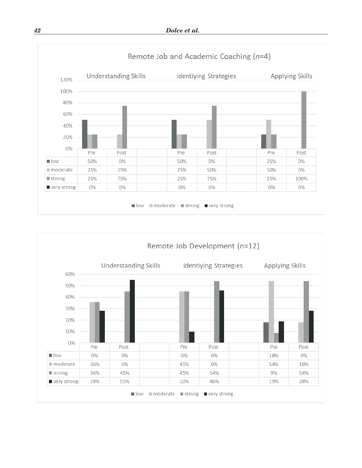

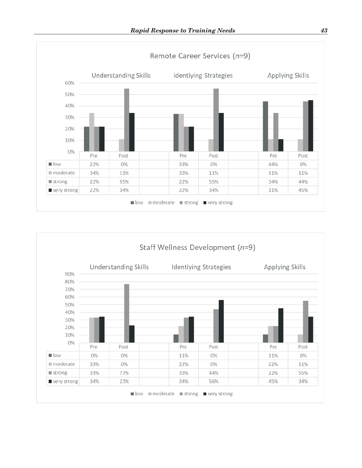

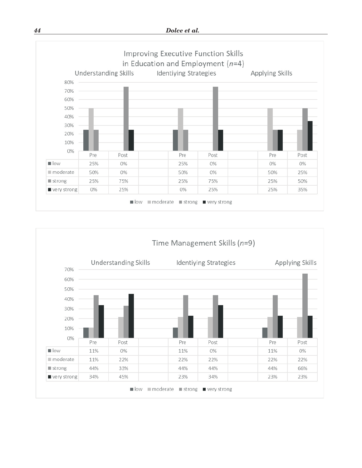

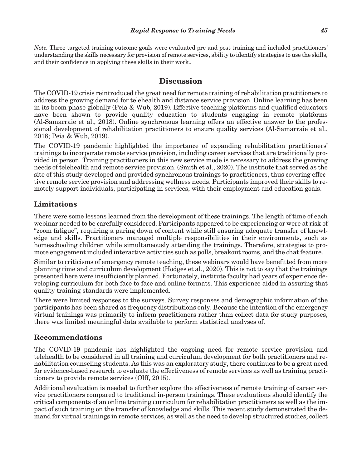*Note.* Three targeted training outcome goals were evaluated pre and post training and included practitioners' understanding the skills necessary for provision of remote services, ability to identify strategies to use the skills, and their confidence in applying these skills in their work*..*

# **Discussion**

The COVID-19 crisis reintroduced the great need for remote training of rehabilitation practitioners to address the growing demand for telehealth and distance service provision. Online learning has been in its boom phase globally (Peia & Wub, 2019). Effective teaching platforms and qualified educators have been shown to provide quality education to students engaging in remote platforms (Al-Samarraie et al., 2018). Online synchronous learning offers an effective answer to the professional development of rehabilitation practitioners to ensure quality services (Al-Samarraie et al., 2018; Peia & Wub, 2019).

The COVID-19 pandemic highlighted the importance of expanding rehabilitation practitioners' trainings to incorporate remote service provision, including career services that are traditionally provided in person. Training practitioners in this new service mode is necessary to address the growing needs of telehealth and remote service provision. (Smith et al., 2020). The institute that served as the site of this study developed and provided synchronous trainings to practitioners, thus covering effective remote service provision and addressing wellness needs. Participants improved their skills to remotely support individuals, participating in services, with their employment and education goals.

# **Limitations**

There were some lessons learned from the development of these trainings. The length of time of each webinar needed to be carefully considered. Participants appeared to be experiencing or were at risk of "zoom fatigue", requiring a paring down of content while still ensuring adequate transfer of knowledge and skills. Practitioners managed multiple responsibilities in their environments, such as homeschooling children while simultaneously attending the trainings. Therefore, strategies to promote engagement included interactive activities such as polls, breakout rooms, and the chat feature.

Similar to criticisms of emergency remote teaching, these webinars would have benefitted from more planning time and curriculum development (Hodges et al., 2020). This is not to say that the trainings presented here were insufficiently planned. Fortunately, institute faculty had years of experience developing curriculum for both face to face and online formats. This experience aided in assuring that quality training standards were implemented.

There were limited responses to the surveys. Survey responses and demographic information of the participants has been shared as frequency distributions only. Because the intention of the emergency virtual trainings was primarily to inform practitioners rather than collect data for study purposes, there was limited meaningful data available to perform statistical analyses of.

#### **Recommendations**

The COVID-19 pandemic has highlighted the ongoing need for remote service provision and telehealth to be considered in all training and curriculum development for both practitioners and rehabilitation counseling students. As this was an exploratory study, there continues to be a great need for evidence-based research to evaluate the effectiveness of remote services as well as training practitioners to provide remote services (Olff, 2015).

Additional evaluation is needed to further explore the effectiveness of remote training of career service practitioners compared to traditional in-person trainings. These evaluations should identify the critical components of an online training curriculum for rehabilitation practitioners as well as the impact of such training on the transfer of knowledge and skills. This recent study demonstrated the demand for virtual trainings in remote services, as well as the need to develop structured studies, collect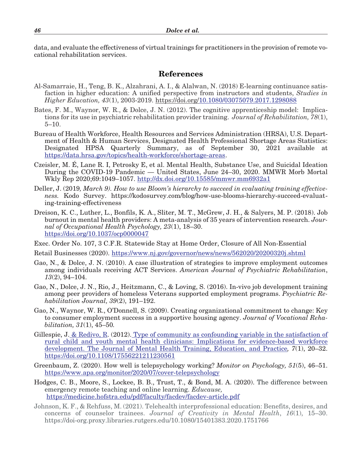data, and evaluate the effectiveness of virtual trainings for practitioners in the provision of remote vocational rehabilitation services.

#### **References**

- Al-Samarraie, H., Teng, B. K., Alzahrani, A. I., & Alalwan, N. (2018) E-learning continuance satisfaction in higher education: A unified perspective from instructors and students, *Studies in Higher Education, 43*(1), 2003-2019. https://doi.org/10.1080/03075079.2017.1298088
- Bates, F. M., Waynor, W. R., & Dolce, J. N. (2012). The cognitive apprenticeship model: Implications for its use in psychiatric rehabilitation provider training. *Journal of Rehabilitation, 78*(1), 5–10.
- Bureau of Health Workforce, Health Resources and Services Administration (HRSA), U.S. Department of Health & Human Services, Designated Health Professional Shortage Areas Statistics: Designated HPSA Quarterly Summary, as of September 30, 2021 available at https://data.hrsa.gov/topics/health-workforce/shortage-areas.
- Czeisler, M. É, Lane R. I, Petrosky E, et al. Mental Health, Substance Use, and Suicidal Ideation During the COVID-19 Pandemic — United States, June 24–30, 2020. MMWR Morb Mortal Wkly Rep 2020;69:1049–1057. http://dx.doi.org/10.15585/mmwr.mm6932a1
- Deller, J. (2019*, March 9). How to use Bloom's hierarchy to succeed in evaluating training effectiveness.* Kodo Survey. https://kodosurvey.com/blog/how-use-blooms-hierarchy-succeed-evaluating-training-effectiveness
- Dreison, K. C., Luther, L., Bonfils, K. A., Sliter, M. T., McGrew, J. H., & Salyers, M. P. (2018). Job burnout in mental health providers: A meta-analysis of 35 years of intervention research. *Journal of Occupational Health Psychology, 23*(1), 18–30. https://doi.org/10.1037/ocp0000047
- Exec. Order No. 107, 3 C.F.R. Statewide Stay at Home Order, Closure of All Non-Essential
- Retail Businesses (2020). https://www.nj.gov/governor/news/news/562020/20200320j.shtml
- Gao, N., & Dolce, J. N. (2010). A case illustration of strategies to improve employment outcomes among individuals receiving ACT Services. *American Journal of Psychiatric Rehabilitation*, *13*(2), 94–104.
- Gao, N., Dolce, J. N., Rio, J., Heitzmann, C., & Loving, S. (2016). In-vivo job development training among peer providers of homeless Veterans supported employment programs. *Psychiatric Rehabilitation Journal, 39*(2), 191–192.
- Gao, N., Waynor, W. R., O'Donnell, S. (2009). Creating organizational commitment to change: Key to consumer employment success in a supportive housing agency. *Journal of Vocational Rehabilitation, 31*(1), 45–50*.*
- Gillespie, J. & Redivo, R. (2012). Type of community as confounding variable in the satisfaction of rural child and youth mental health clinicians: Implications for evidence-based workforce development. The Journal of Mental Health Training, Education, and Practice*, 7*(1), 20–32. https://doi.org/10.1108/17556221211230561
- Greenbaum, Z. (2020). How well is telepsychology working? *Monitor on Psychology, 51*(5), 46–51. https://www.apa.org/monitor/2020/07/cover-telepsychology
- Hodges, C. B., Moore, S., Lockee, B. B., Trust, T., & Bond, M. A. (2020). The difference between emergency remote teaching and online learning. *Educause,* https://medicine.hofstra.edu/pdf/faculty/facdev/facdev-article.pdf
- Johnson, K. F., & Rehfuss, M. (2021). Telehealth interprofessional education: Benefits, desires, and concerns of counselor trainees. *Journal of Creativity in Mental Health*, *16*(1), 15–30. https://doi-org.proxy.libraries.rutgers.edu/10.1080/15401383.2020.1751766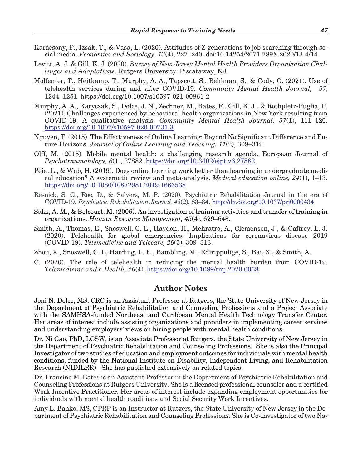- Karácsony, P., Izsák, T., & Vasa, L. (2020). Attitudes of Z generations to job searching through social media. *Economics and Sociology, 13*(4), 227–240. doi:10.14254/2071-789X.2020/13-4/14
- Levitt, A. J. & Gill, K. J. (2020). *Survey of New Jersey Mental Health Providers Organization Challenges and Adaptations*. Rutgers University: Piscataway, NJ.
- Molfenter, T., Heitkamp, T., Murphy, A. A., Tapscott, S., Behlman, S., & Cody, O. (2021). Use of telehealth services during and after COVID-19. *Community Mental Health Journal, 57*, 1244–1251. https://doi.org/10.1007/s10597-021-00861-2
- Murphy, A. A., Karyczak, S., Dolce, J. N., Zechner, M., Bates, F., Gill, K. J., & Rothpletz-Puglia, P. (2021). Challenges experienced by behavioral health organizations in New York resulting from COVID-19: A qualitative analysis. *Community Mental Health Journal, 57*(1), 111–120. https://doi.org/10.1007/s10597-020-00731-3
- Nguyen, T. (2015). The Effectiveness of Online Learning: Beyond No Significant Difference and Future Horizons. *Journal of Online Learning and Teaching, 11*(2), 309–319.
- Olff, M. (2015). Mobile mental health: a challenging research agenda, European Journal of *Psychotraumatology, 6*(1), 27882. https://doi.org/10.3402/ejpt.v6.27882
- Peia, L., & Wub, H. (2019). Does online learning work better than learning in undergraduate medical education? A systematic review and meta-analysis. *Medical education online, 24*(1), 1–13. https://doi.org/10.1080/10872981.2019.1666538
- Resnick, S. G., Roe, D., & Salyers, M. P. (2020). Psychiatric Rehabilitation Journal in the era of COVID-19. *Psychiatric Rehabilitation Journal, 43*(2), 83–84. http://dx.doi.org/10.1037/prj0000434
- Saks, A. M., & Belcourt, M. (2006). An investigation of training activities and transfer of training in organizations. *Human Resource Management, 45*(4), 629–648.
- Smith, A., Thomas, E., Snoswell, C. L., Haydon, H., Mehratro, A., Clemensen, J., & Caffrey, L. J. (2020). Telehealth for global emergencies: Implications for coronavirus disease 2019 (COVID-19). *Telemedicine and Telecare, 26*(5), 309–313.

Zhou, X., Snoswell, C. L, Harding, L. E., Bambling, M., Edirippulige, S., Bai, X., & Smith, A.

C. (2020). The role of telehealth in reducing the mental health burden from COVID-19. *Telemedicine and e-Health, 26*(4). https://doi.org/10.1089/tmj.2020.0068

#### **Author Notes**

Joni N. Dolce, MS, CRC is an Assistant Professor at Rutgers, the State University of New Jersey in the Department of Psychiatric Rehabilitation and Counseling Professions and a Project Associate with the SAMHSA-funded Northeast and Caribbean Mental Health Technology Transfer Center. Her areas of interest include assisting organizations and providers in implementing career services and understanding employers' views on hiring people with mental health conditions.

Dr. Ni Gao, PhD, LCSW, is an Associate Professor at Rutgers, the State University of New Jersey in the Department of Psychiatric Rehabilitation and Counseling Professions. She is also the Principal Investigator of two studies of education and employment outcomes for individuals with mental health conditions, funded by the National Institute on Disability, Independent Living, and Rehabilitation Research (NIDILRR). She has published extensively on related topics.

Dr. Francine M. Bates is an Assistant Professor in the Department of Psychiatric Rehabilitation and Counseling Professions at Rutgers University. She is a licensed professional counselor and a certified Work Incentive Practitioner. Her areas of interest include expanding employment opportunities for individuals with mental health conditions and Social Security Work Incentives.

Amy L. Banko, MS, CPRP is an Instructor at Rutgers, the State University of New Jersey in the Department of Psychiatric Rehabilitation and Counseling Professions. She is Co-Investigator of two Na